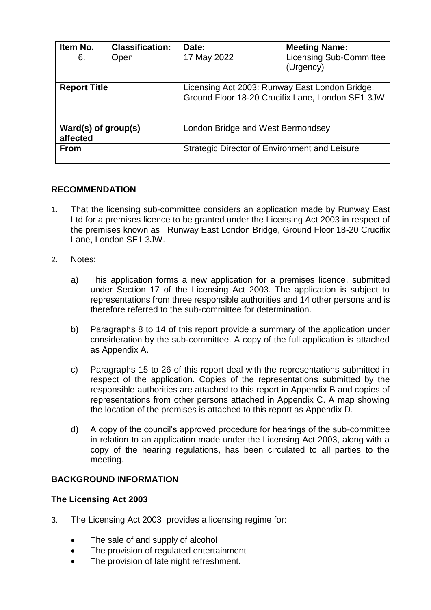| Item No.<br>6.                  | <b>Classification:</b><br>Open | Date:<br>17 May 2022                                                                               | <b>Meeting Name:</b><br><b>Licensing Sub-Committee</b><br>(Urgency) |
|---------------------------------|--------------------------------|----------------------------------------------------------------------------------------------------|---------------------------------------------------------------------|
| <b>Report Title</b>             |                                | Licensing Act 2003: Runway East London Bridge,<br>Ground Floor 18-20 Crucifix Lane, London SE1 3JW |                                                                     |
| Ward(s) of group(s)<br>affected |                                | London Bridge and West Bermondsey                                                                  |                                                                     |
| <b>From</b>                     |                                | Strategic Director of Environment and Leisure                                                      |                                                                     |

## **RECOMMENDATION**

- 1. That the licensing sub-committee considers an application made by Runway East Ltd for a premises licence to be granted under the Licensing Act 2003 in respect of the premises known as Runway East London Bridge, Ground Floor 18-20 Crucifix Lane, London SE1 3JW.
- 2. Notes:
	- a) This application forms a new application for a premises licence, submitted under Section 17 of the Licensing Act 2003. The application is subject to representations from three responsible authorities and 14 other persons and is therefore referred to the sub-committee for determination.
	- b) Paragraphs 8 to 14 of this report provide a summary of the application under consideration by the sub-committee. A copy of the full application is attached as Appendix A.
	- c) Paragraphs 15 to 26 of this report deal with the representations submitted in respect of the application. Copies of the representations submitted by the responsible authorities are attached to this report in Appendix B and copies of representations from other persons attached in Appendix C. A map showing the location of the premises is attached to this report as Appendix D.
	- d) A copy of the council's approved procedure for hearings of the sub-committee in relation to an application made under the Licensing Act 2003, along with a copy of the hearing regulations, has been circulated to all parties to the meeting.

## **BACKGROUND INFORMATION**

## **The Licensing Act 2003**

- 3. The Licensing Act 2003 provides a licensing regime for:
	- The sale of and supply of alcohol
	- The provision of regulated entertainment
	- The provision of late night refreshment.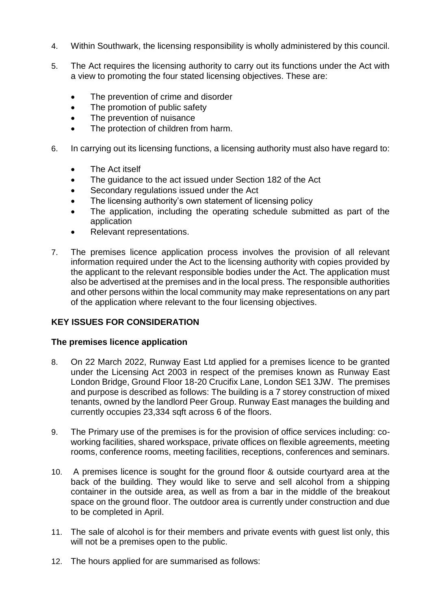- 4. Within Southwark, the licensing responsibility is wholly administered by this council.
- 5. The Act requires the licensing authority to carry out its functions under the Act with a view to promoting the four stated licensing objectives. These are:
	- The prevention of crime and disorder
	- The promotion of public safety
	- The prevention of nuisance
	- The protection of children from harm.
- 6. In carrying out its licensing functions, a licensing authority must also have regard to:
	- The Act itself
	- The quidance to the act issued under Section 182 of the Act
	- Secondary regulations issued under the Act
	- The licensing authority's own statement of licensing policy
	- The application, including the operating schedule submitted as part of the application
	- Relevant representations.
- 7. The premises licence application process involves the provision of all relevant information required under the Act to the licensing authority with copies provided by the applicant to the relevant responsible bodies under the Act. The application must also be advertised at the premises and in the local press. The responsible authorities and other persons within the local community may make representations on any part of the application where relevant to the four licensing objectives.

## **KEY ISSUES FOR CONSIDERATION**

#### **The premises licence application**

- 8. On 22 March 2022, Runway East Ltd applied for a premises licence to be granted under the Licensing Act 2003 in respect of the premises known as Runway East London Bridge, Ground Floor 18-20 Crucifix Lane, London SE1 3JW. The premises and purpose is described as follows: The building is a 7 storey construction of mixed tenants, owned by the landlord Peer Group. Runway East manages the building and currently occupies 23,334 sqft across 6 of the floors.
- 9. The Primary use of the premises is for the provision of office services including: coworking facilities, shared workspace, private offices on flexible agreements, meeting rooms, conference rooms, meeting facilities, receptions, conferences and seminars.
- 10. A premises licence is sought for the ground floor & outside courtyard area at the back of the building. They would like to serve and sell alcohol from a shipping container in the outside area, as well as from a bar in the middle of the breakout space on the ground floor. The outdoor area is currently under construction and due to be completed in April.
- 11. The sale of alcohol is for their members and private events with guest list only, this will not be a premises open to the public.
- 12. The hours applied for are summarised as follows: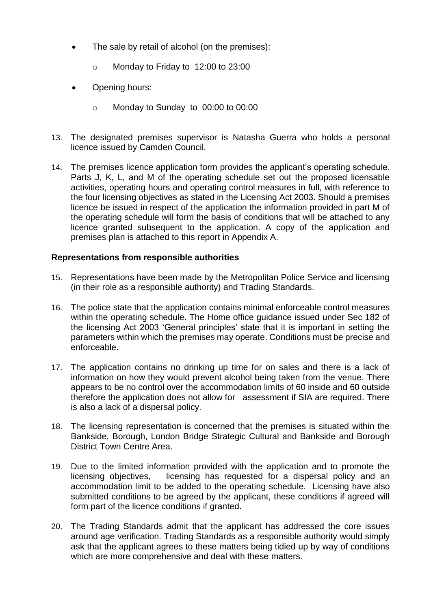- The sale by retail of alcohol (on the premises):
	- o Monday to Friday to 12:00 to 23:00
- Opening hours:
	- o Monday to Sunday to 00:00 to 00:00
- 13. The designated premises supervisor is Natasha Guerra who holds a personal licence issued by Camden Council.
- 14. The premises licence application form provides the applicant's operating schedule. Parts J, K, L, and M of the operating schedule set out the proposed licensable activities, operating hours and operating control measures in full, with reference to the four licensing objectives as stated in the Licensing Act 2003. Should a premises licence be issued in respect of the application the information provided in part M of the operating schedule will form the basis of conditions that will be attached to any licence granted subsequent to the application. A copy of the application and premises plan is attached to this report in Appendix A.

## **Representations from responsible authorities**

- 15. Representations have been made by the Metropolitan Police Service and licensing (in their role as a responsible authority) and Trading Standards.
- 16. The police state that the application contains minimal enforceable control measures within the operating schedule. The Home office guidance issued under Sec 182 of the licensing Act 2003 'General principles' state that it is important in setting the parameters within which the premises may operate. Conditions must be precise and enforceable.
- 17. The application contains no drinking up time for on sales and there is a lack of information on how they would prevent alcohol being taken from the venue. There appears to be no control over the accommodation limits of 60 inside and 60 outside therefore the application does not allow for assessment if SIA are required. There is also a lack of a dispersal policy.
- 18. The licensing representation is concerned that the premises is situated within the Bankside, Borough, London Bridge Strategic Cultural and Bankside and Borough District Town Centre Area.
- 19. Due to the limited information provided with the application and to promote the licensing objectives, licensing has requested for a dispersal policy and an accommodation limit to be added to the operating schedule. Licensing have also submitted conditions to be agreed by the applicant, these conditions if agreed will form part of the licence conditions if granted.
- 20. The Trading Standards admit that the applicant has addressed the core issues around age verification. Trading Standards as a responsible authority would simply ask that the applicant agrees to these matters being tidied up by way of conditions which are more comprehensive and deal with these matters.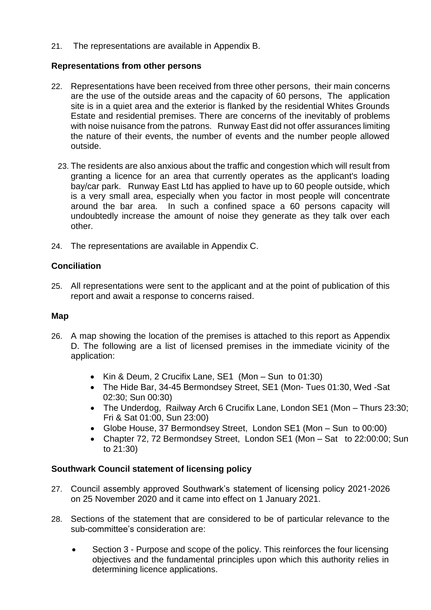21. The representations are available in Appendix B.

## **Representations from other persons**

- 22. Representations have been received from three other persons, their main concerns are the use of the outside areas and the capacity of 60 persons, The application site is in a quiet area and the exterior is flanked by the residential Whites Grounds Estate and residential premises. There are concerns of the inevitably of problems with noise nuisance from the patrons. Runway East did not offer assurances limiting the nature of their events, the number of events and the number people allowed outside.
	- 23. The residents are also anxious about the traffic and congestion which will result from granting a licence for an area that currently operates as the applicant's loading bay/car park. Runway East Ltd has applied to have up to 60 people outside, which is a very small area, especially when you factor in most people will concentrate around the bar area. In such a confined space a 60 persons capacity will undoubtedly increase the amount of noise they generate as they talk over each other.
- 24. The representations are available in Appendix C.

## **Conciliation**

25. All representations were sent to the applicant and at the point of publication of this report and await a response to concerns raised.

## **Map**

- 26. A map showing the location of the premises is attached to this report as Appendix D. The following are a list of licensed premises in the immediate vicinity of the application:
	- Kin & Deum, 2 Crucifix Lane, SE1 (Mon Sun to 01:30)
	- The Hide Bar, 34-45 Bermondsey Street, SE1 (Mon- Tues 01:30, Wed -Sat 02:30; Sun 00:30)
	- The Underdog, Railway Arch 6 Crucifix Lane, London SE1 (Mon Thurs 23:30; Fri & Sat 01:00, Sun 23:00)
	- Globe House, 37 Bermondsey Street, London SE1 (Mon Sun to 00:00)
	- Chapter 72, 72 Bermondsey Street, London SE1 (Mon Sat to 22:00:00; Sun to 21:30)

## **Southwark Council statement of licensing policy**

- 27. Council assembly approved Southwark's statement of licensing policy 2021-2026 on 25 November 2020 and it came into effect on 1 January 2021.
- 28. Sections of the statement that are considered to be of particular relevance to the sub-committee's consideration are:
	- Section 3 Purpose and scope of the policy. This reinforces the four licensing objectives and the fundamental principles upon which this authority relies in determining licence applications.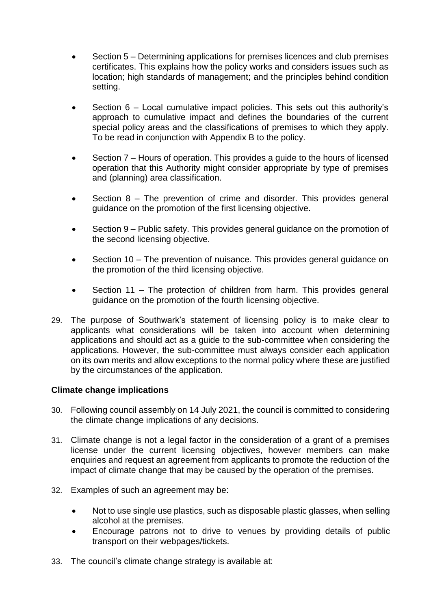- Section 5 Determining applications for premises licences and club premises certificates. This explains how the policy works and considers issues such as location; high standards of management; and the principles behind condition setting.
- Section 6 Local cumulative impact policies. This sets out this authority's approach to cumulative impact and defines the boundaries of the current special policy areas and the classifications of premises to which they apply. To be read in conjunction with Appendix B to the policy.
- Section 7 Hours of operation. This provides a guide to the hours of licensed operation that this Authority might consider appropriate by type of premises and (planning) area classification.
- Section 8 The prevention of crime and disorder. This provides general guidance on the promotion of the first licensing objective.
- Section 9 Public safety. This provides general quidance on the promotion of the second licensing objective.
- Section 10 The prevention of nuisance. This provides general guidance on the promotion of the third licensing objective.
- Section 11 The protection of children from harm. This provides general guidance on the promotion of the fourth licensing objective.
- 29. The purpose of Southwark's statement of licensing policy is to make clear to applicants what considerations will be taken into account when determining applications and should act as a guide to the sub-committee when considering the applications. However, the sub-committee must always consider each application on its own merits and allow exceptions to the normal policy where these are justified by the circumstances of the application.

## **Climate change implications**

- 30. Following council assembly on 14 July 2021, the council is committed to considering the climate change implications of any decisions.
- 31. Climate change is not a legal factor in the consideration of a grant of a premises license under the current licensing objectives, however members can make enquiries and request an agreement from applicants to promote the reduction of the impact of climate change that may be caused by the operation of the premises.
- 32. Examples of such an agreement may be:
	- Not to use single use plastics, such as disposable plastic glasses, when selling alcohol at the premises.
	- Encourage patrons not to drive to venues by providing details of public transport on their webpages/tickets.
- 33. The council's climate change strategy is available at: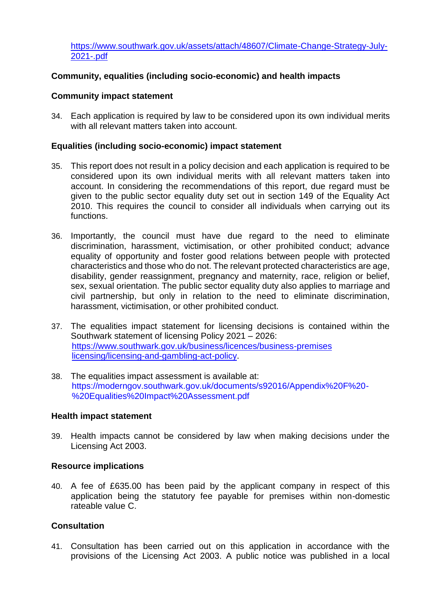[https://www.southwark.gov.uk/assets/attach/48607/Climate-Change-Strategy-July-](https://www.southwark.gov.uk/assets/attach/48607/Climate-Change-Strategy-July-2021-.pdf)[2021-.pdf](https://www.southwark.gov.uk/assets/attach/48607/Climate-Change-Strategy-July-2021-.pdf)

## **Community, equalities (including socio-economic) and health impacts**

### **Community impact statement**

34. Each application is required by law to be considered upon its own individual merits with all relevant matters taken into account.

## **Equalities (including socio-economic) impact statement**

- 35. This report does not result in a policy decision and each application is required to be considered upon its own individual merits with all relevant matters taken into account. In considering the recommendations of this report, due regard must be given to the public sector equality duty set out in section 149 of the Equality Act 2010. This requires the council to consider all individuals when carrying out its functions.
- 36. Importantly, the council must have due regard to the need to eliminate discrimination, harassment, victimisation, or other prohibited conduct; advance equality of opportunity and foster good relations between people with protected characteristics and those who do not. The relevant protected characteristics are age, disability, gender reassignment, pregnancy and maternity, race, religion or belief, sex, sexual orientation. The public sector equality duty also applies to marriage and civil partnership, but only in relation to the need to eliminate discrimination, harassment, victimisation, or other prohibited conduct.
- 37. The equalities impact statement for licensing decisions is contained within the Southwark statement of licensing Policy 2021 – 2026: [https://www.southwark.gov.uk/business/licences/business-premises](https://www.southwark.gov.uk/business/licences/business-premises%20licensing/licensing-and-gambling-act-policy)  [licensing/licensing-and-gambling-act-policy.](https://www.southwark.gov.uk/business/licences/business-premises%20licensing/licensing-and-gambling-act-policy)
- 38. The equalities impact assessment is available at: https://moderngov.southwark.gov.uk/documents/s92016/Appendix%20F%20- %20Equalities%20Impact%20Assessment.pdf

#### **Health impact statement**

39. Health impacts cannot be considered by law when making decisions under the Licensing Act 2003.

#### **Resource implications**

40. A fee of £635.00 has been paid by the applicant company in respect of this application being the statutory fee payable for premises within non-domestic rateable value C.

## **Consultation**

41. Consultation has been carried out on this application in accordance with the provisions of the Licensing Act 2003. A public notice was published in a local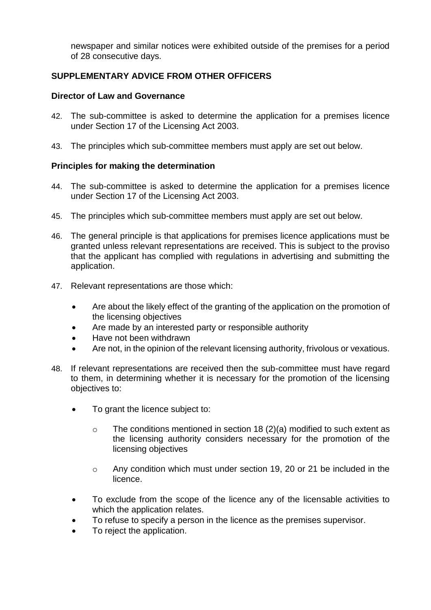newspaper and similar notices were exhibited outside of the premises for a period of 28 consecutive days.

## **SUPPLEMENTARY ADVICE FROM OTHER OFFICERS**

## **Director of Law and Governance**

- 42. The sub-committee is asked to determine the application for a premises licence under Section 17 of the Licensing Act 2003.
- 43. The principles which sub-committee members must apply are set out below.

## **Principles for making the determination**

- 44. The sub-committee is asked to determine the application for a premises licence under Section 17 of the Licensing Act 2003.
- 45. The principles which sub-committee members must apply are set out below.
- 46. The general principle is that applications for premises licence applications must be granted unless relevant representations are received. This is subject to the proviso that the applicant has complied with regulations in advertising and submitting the application.
- 47. Relevant representations are those which:
	- Are about the likely effect of the granting of the application on the promotion of the licensing objectives
	- Are made by an interested party or responsible authority
	- Have not been withdrawn
	- Are not, in the opinion of the relevant licensing authority, frivolous or vexatious.
- 48. If relevant representations are received then the sub-committee must have regard to them, in determining whether it is necessary for the promotion of the licensing objectives to:
	- To grant the licence subject to:
		- o The conditions mentioned in section 18 (2)(a) modified to such extent as the licensing authority considers necessary for the promotion of the licensing objectives
		- o Any condition which must under section 19, 20 or 21 be included in the licence.
	- To exclude from the scope of the licence any of the licensable activities to which the application relates.
	- To refuse to specify a person in the licence as the premises supervisor.
	- To reject the application.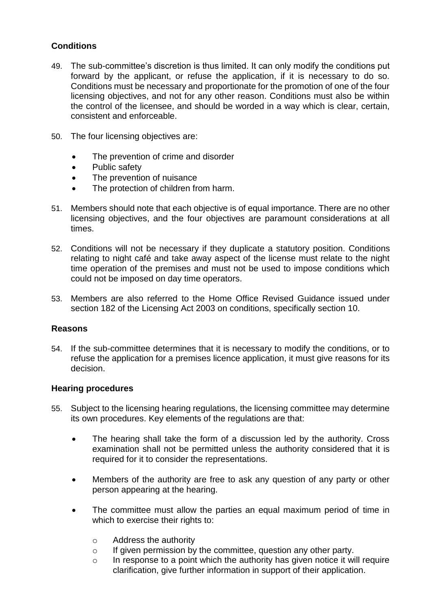## **Conditions**

- 49. The sub-committee's discretion is thus limited. It can only modify the conditions put forward by the applicant, or refuse the application, if it is necessary to do so. Conditions must be necessary and proportionate for the promotion of one of the four licensing objectives, and not for any other reason. Conditions must also be within the control of the licensee, and should be worded in a way which is clear, certain, consistent and enforceable.
- 50. The four licensing objectives are:
	- The prevention of crime and disorder
	- Public safety
	- The prevention of nuisance
	- The protection of children from harm.
- 51. Members should note that each objective is of equal importance. There are no other licensing objectives, and the four objectives are paramount considerations at all times.
- 52. Conditions will not be necessary if they duplicate a statutory position. Conditions relating to night café and take away aspect of the license must relate to the night time operation of the premises and must not be used to impose conditions which could not be imposed on day time operators.
- 53. Members are also referred to the Home Office Revised Guidance issued under section 182 of the Licensing Act 2003 on conditions, specifically section 10.

## **Reasons**

54. If the sub-committee determines that it is necessary to modify the conditions, or to refuse the application for a premises licence application, it must give reasons for its decision.

## **Hearing procedures**

- 55. Subject to the licensing hearing regulations, the licensing committee may determine its own procedures. Key elements of the regulations are that:
	- The hearing shall take the form of a discussion led by the authority. Cross examination shall not be permitted unless the authority considered that it is required for it to consider the representations.
	- Members of the authority are free to ask any question of any party or other person appearing at the hearing.
	- The committee must allow the parties an equal maximum period of time in which to exercise their rights to:
		- o Address the authority
		- o If given permission by the committee, question any other party.
		- o In response to a point which the authority has given notice it will require clarification, give further information in support of their application.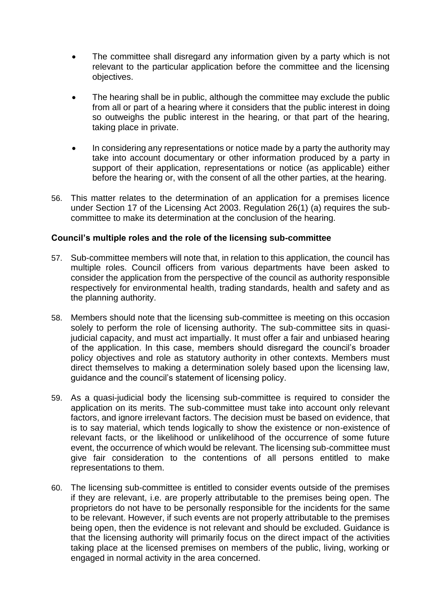- The committee shall disregard any information given by a party which is not relevant to the particular application before the committee and the licensing objectives.
- The hearing shall be in public, although the committee may exclude the public from all or part of a hearing where it considers that the public interest in doing so outweighs the public interest in the hearing, or that part of the hearing, taking place in private.
- In considering any representations or notice made by a party the authority may take into account documentary or other information produced by a party in support of their application, representations or notice (as applicable) either before the hearing or, with the consent of all the other parties, at the hearing.
- 56. This matter relates to the determination of an application for a premises licence under Section 17 of the Licensing Act 2003. Regulation 26(1) (a) requires the subcommittee to make its determination at the conclusion of the hearing.

## **Council's multiple roles and the role of the licensing sub-committee**

- 57. Sub-committee members will note that, in relation to this application, the council has multiple roles. Council officers from various departments have been asked to consider the application from the perspective of the council as authority responsible respectively for environmental health, trading standards, health and safety and as the planning authority.
- 58. Members should note that the licensing sub-committee is meeting on this occasion solely to perform the role of licensing authority. The sub-committee sits in quasijudicial capacity, and must act impartially. It must offer a fair and unbiased hearing of the application. In this case, members should disregard the council's broader policy objectives and role as statutory authority in other contexts. Members must direct themselves to making a determination solely based upon the licensing law, guidance and the council's statement of licensing policy.
- 59. As a quasi-judicial body the licensing sub-committee is required to consider the application on its merits. The sub-committee must take into account only relevant factors, and ignore irrelevant factors. The decision must be based on evidence, that is to say material, which tends logically to show the existence or non-existence of relevant facts, or the likelihood or unlikelihood of the occurrence of some future event, the occurrence of which would be relevant. The licensing sub-committee must give fair consideration to the contentions of all persons entitled to make representations to them.
- 60. The licensing sub-committee is entitled to consider events outside of the premises if they are relevant, i.e. are properly attributable to the premises being open. The proprietors do not have to be personally responsible for the incidents for the same to be relevant. However, if such events are not properly attributable to the premises being open, then the evidence is not relevant and should be excluded. Guidance is that the licensing authority will primarily focus on the direct impact of the activities taking place at the licensed premises on members of the public, living, working or engaged in normal activity in the area concerned.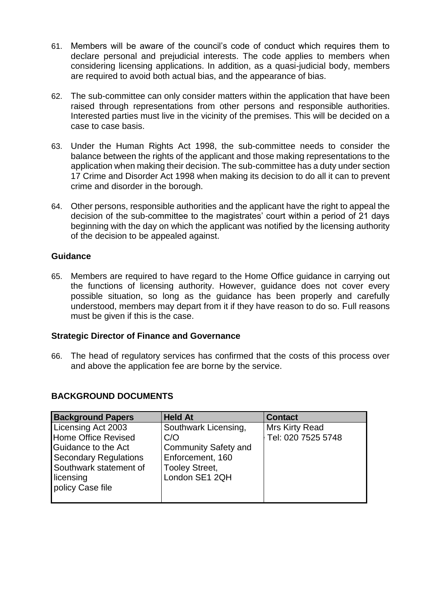- 61. Members will be aware of the council's code of conduct which requires them to declare personal and prejudicial interests. The code applies to members when considering licensing applications. In addition, as a quasi-judicial body, members are required to avoid both actual bias, and the appearance of bias.
- 62. The sub-committee can only consider matters within the application that have been raised through representations from other persons and responsible authorities. Interested parties must live in the vicinity of the premises. This will be decided on a case to case basis.
- 63. Under the Human Rights Act 1998, the sub-committee needs to consider the balance between the rights of the applicant and those making representations to the application when making their decision. The sub-committee has a duty under section 17 Crime and Disorder Act 1998 when making its decision to do all it can to prevent crime and disorder in the borough.
- 64. Other persons, responsible authorities and the applicant have the right to appeal the decision of the sub-committee to the magistrates' court within a period of 21 days beginning with the day on which the applicant was notified by the licensing authority of the decision to be appealed against.

## **Guidance**

65. Members are required to have regard to the Home Office guidance in carrying out the functions of licensing authority. However, guidance does not cover every possible situation, so long as the guidance has been properly and carefully understood, members may depart from it if they have reason to do so. Full reasons must be given if this is the case.

## **Strategic Director of Finance and Governance**

66. The head of regulatory services has confirmed that the costs of this process over and above the application fee are borne by the service.

| <b>Background Papers</b>     | <b>Held At</b>              | <b>Contact</b>     |
|------------------------------|-----------------------------|--------------------|
| Licensing Act 2003           | Southwark Licensing,        | Mrs Kirty Read     |
| <b>Home Office Revised</b>   | C/O                         | Tel: 020 7525 5748 |
| Guidance to the Act          | <b>Community Safety and</b> |                    |
| <b>Secondary Regulations</b> | Enforcement, 160            |                    |
| Southwark statement of       | <b>Tooley Street,</b>       |                    |
| licensing                    | London SE1 2QH              |                    |
| policy Case file             |                             |                    |
|                              |                             |                    |

## **BACKGROUND DOCUMENTS**